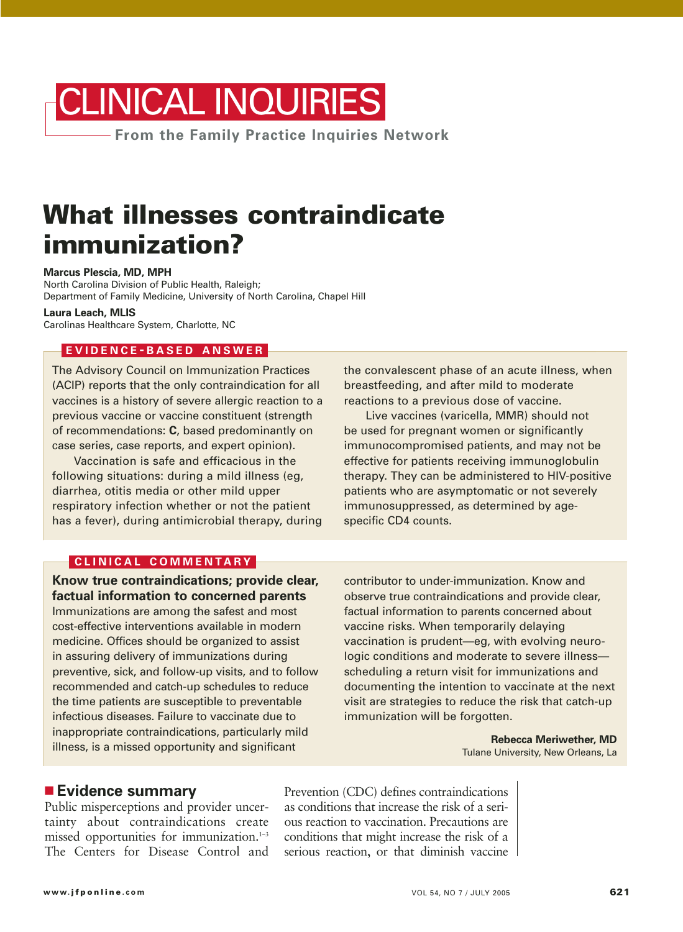

## **What illnesses contraindicate immunization?**

**Marcus Plescia, MD, MPH**

North Carolina Division of Public Health, Raleigh; Department of Family Medicine, University of North Carolina, Chapel Hill

**Laura Leach, MLIS** Carolinas Healthcare System, Charlotte, NC

## **EVIDENCE - BASED ANSWER**

The Advisory Council on Immunization Practices (ACIP) reports that the only contraindication for all vaccines is a history of severe allergic reaction to a previous vaccine or vaccine constituent (strength of recommendations: **C**, based predominantly on case series, case reports, and expert opinion).

Vaccination is safe and efficacious in the following situations: during a mild illness (eg, diarrhea, otitis media or other mild upper respiratory infection whether or not the patient has a fever), during antimicrobial therapy, during the convalescent phase of an acute illness, when breastfeeding, and after mild to moderate reactions to a previous dose of vaccine.

Live vaccines (varicella, MMR) should not be used for pregnant women or significantly immunocompromised patients, and may not be effective for patients receiving immunoglobulin therapy. They can be administered to HIV-positive patients who are asymptomatic or not severely immunosuppressed, as determined by agespecific CD4 counts.

#### **CLINICAL COMMENTARY**

**Know true contraindications; provide clear, factual information to concerned parents** Immunizations are among the safest and most cost-effective interventions available in modern medicine. Offices should be organized to assist in assuring delivery of immunizations during preventive, sick, and follow-up visits, and to follow recommended and catch-up schedules to reduce the time patients are susceptible to preventable infectious diseases. Failure to vaccinate due to inappropriate contraindications, particularly mild illness, is a missed opportunity and significant

contributor to under-immunization. Know and observe true contraindications and provide clear, factual information to parents concerned about vaccine risks. When temporarily delaying vaccination is prudent—eg, with evolving neurologic conditions and moderate to severe illness scheduling a return visit for immunizations and documenting the intention to vaccinate at the next visit are strategies to reduce the risk that catch-up immunization will be forgotten.

> **Rebecca Meriwether, MD** Tulane University, New Orleans, La

## ■ **Evidence summary**

Public misperceptions and provider uncertainty about contraindications create missed opportunities for immunization. $1-3$ The Centers for Disease Control and

Prevention (CDC) defines contraindications as conditions that increase the risk of a serious reaction to vaccination. Precautions are conditions that might increase the risk of a serious reaction, or that diminish vaccine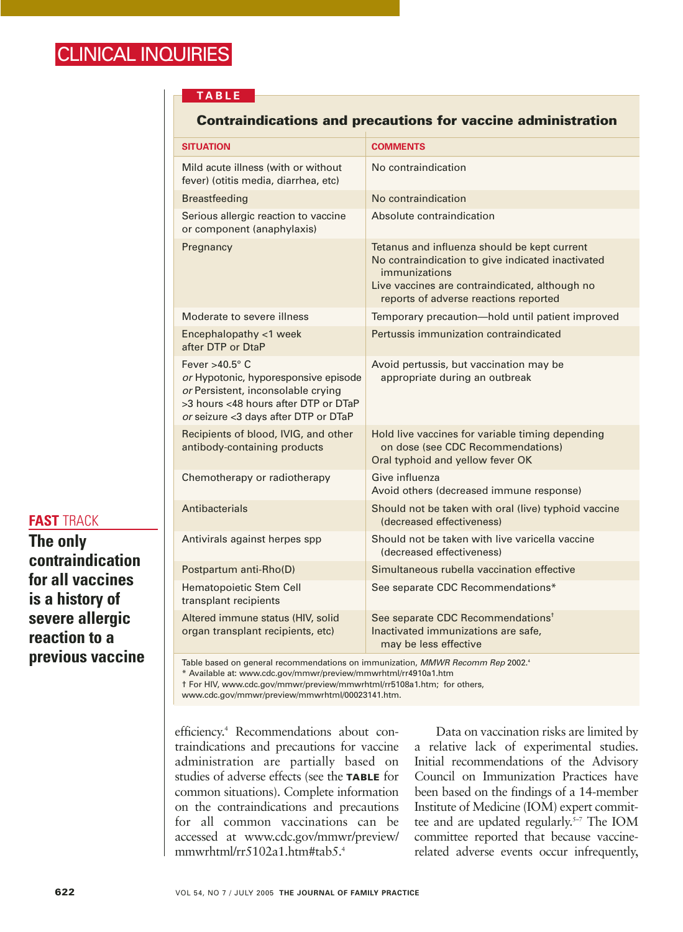#### **TABLE**

#### **Contraindications and precautions for vaccine administration**

| <b>SITUATION</b>                                                                                                                                                                    | <b>COMMENTS</b>                                                                                                                                                                                               |
|-------------------------------------------------------------------------------------------------------------------------------------------------------------------------------------|---------------------------------------------------------------------------------------------------------------------------------------------------------------------------------------------------------------|
| Mild acute illness (with or without<br>fever) (otitis media, diarrhea, etc)                                                                                                         | No contraindication                                                                                                                                                                                           |
| <b>Breastfeeding</b>                                                                                                                                                                | No contraindication                                                                                                                                                                                           |
| Serious allergic reaction to vaccine<br>or component (anaphylaxis)                                                                                                                  | Absolute contraindication                                                                                                                                                                                     |
| Pregnancy                                                                                                                                                                           | Tetanus and influenza should be kept current<br>No contraindication to give indicated inactivated<br>immunizations<br>Live vaccines are contraindicated, although no<br>reports of adverse reactions reported |
| Moderate to severe illness                                                                                                                                                          | Temporary precaution-hold until patient improved                                                                                                                                                              |
| Encephalopathy <1 week<br>after DTP or DtaP                                                                                                                                         | Pertussis immunization contraindicated                                                                                                                                                                        |
| Fever $>40.5^\circ$ C<br>or Hypotonic, hyporesponsive episode<br>or Persistent, inconsolable crying<br>>3 hours <48 hours after DTP or DTaP<br>or seizure <3 days after DTP or DTaP | Avoid pertussis, but vaccination may be<br>appropriate during an outbreak                                                                                                                                     |
| Recipients of blood, IVIG, and other<br>antibody-containing products                                                                                                                | Hold live vaccines for variable timing depending<br>on dose (see CDC Recommendations)<br>Oral typhoid and yellow fever OK                                                                                     |
| Chemotherapy or radiotherapy                                                                                                                                                        | Give influenza<br>Avoid others (decreased immune response)                                                                                                                                                    |
| Antibacterials                                                                                                                                                                      | Should not be taken with oral (live) typhoid vaccine<br>(decreased effectiveness)                                                                                                                             |
| Antivirals against herpes spp                                                                                                                                                       | Should not be taken with live varicella vaccine<br>(decreased effectiveness)                                                                                                                                  |
| Postpartum anti-Rho(D)                                                                                                                                                              | Simultaneous rubella vaccination effective                                                                                                                                                                    |
| Hematopoietic Stem Cell<br>transplant recipients                                                                                                                                    | See separate CDC Recommendations*                                                                                                                                                                             |
| Altered immune status (HIV, solid<br>organ transplant recipients, etc)                                                                                                              | See separate CDC Recommendations <sup>t</sup><br>Inactivated immunizations are safe,<br>may be less effective                                                                                                 |

#### Table based on general recommendations on immunization, MMWR Recomm Rep 2002.<sup>4</sup>

\* Available at: www.cdc.gov/mmwr/preview/mmwrhtml/rr4910a1.htm † For HIV, www.cdc.gov/mmwr/preview/mmwrhtml/rr5108a1.htm; for others,

www.cdc.gov/mmwr/preview/mmwrhtml/00023141.htm.

efficiency.4 Recommendations about contraindications and precautions for vaccine administration are partially based on studies of adverse effects (see the **TABLE** for common situations). Complete information on the contraindications and precautions for all common vaccinations can be accessed at www.cdc.gov/mmwr/preview/ mmwrhtml/rr5102a1.htm#tab5.4

Data on vaccination risks are limited by a relative lack of experimental studies. Initial recommendations of the Advisory Council on Immunization Practices have been based on the findings of a 14-member Institute of Medicine (IOM) expert committee and are updated regularly.<sup>5-7</sup> The IOM committee reported that because vaccinerelated adverse events occur infrequently,

**FAST** TRACK

**previous vaccine**